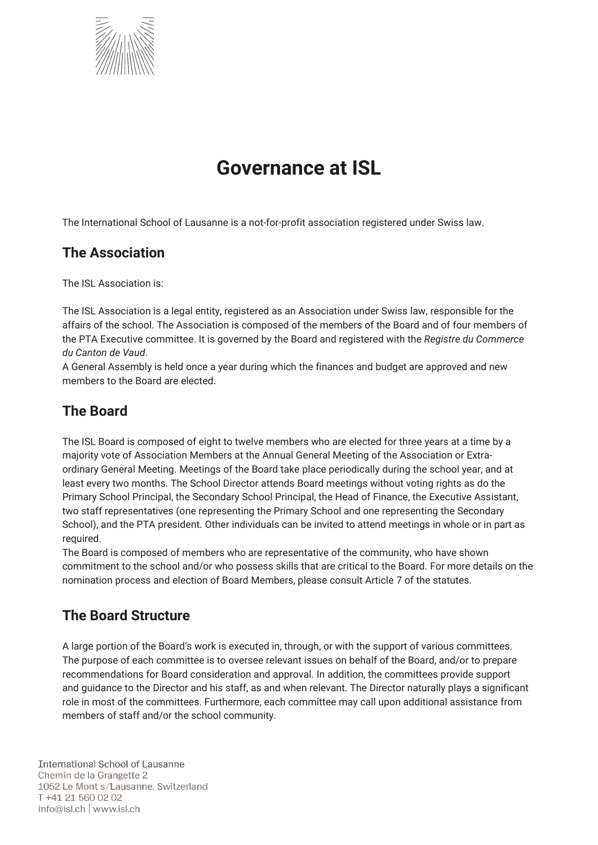

# **Governance at ISL**

The International School of Lausanne is a not-for-profit association registered under Swiss law.

#### **The Association**

The ISL Association is:

The ISL Association is a legal entity, registered as an Association under Swiss law, responsible for the affairs of the school. The Association is composed of the members of the Board and of four members of the PTA Executive committee. It is governed by the Board and registered with the *Registre du Commerce du Canton de Vaud*.

A General Assembly is held once a year during which the finances and budget are approved and new members to the Board are elected.

## **The Board**

The ISL Board is composed of eight to twelve members who are elected for three years at a time by a majority vote of Association Members at the Annual General Meeting of the Association or Extraordinary General Meeting. Meetings of the Board take place periodically during the school year, and at least every two months. The School Director attends Board meetings without voting rights as do the Primary School Principal, the Secondary School Principal, the Head of Finance, the Executive Assistant, two staff representatives (one representing the Primary School and one representing the Secondary School), and the PTA president. Other individuals can be invited to attend meetings in whole or in part as required.

The Board is composed of members who are representative of the community, who have shown commitment to the school and/or who possess skills that are critical to the Board. For more details on the nomination process and election of Board Members, please consult Article 7 of the statutes.

## **The Board Structure**

A large portion of the Board's work is executed in, through, or with the support of various committees. The purpose of each committee is to oversee relevant issues on behalf of the Board, and/or to prepare recommendations for Board consideration and approval. In addition, the committees provide support and guidance to the Director and his staff, as and when relevant. The Director naturally plays a significant role in most of the committees. Furthermore, each committee may call upon additional assistance from members of staff and/or the school community.

**International School of Lausanne** Chemin de la Grangette 2 1052 Le Mont s/Lausanne, Switzerland T +41 21 560 02 02  $info@isl.ch$  www.isl.ch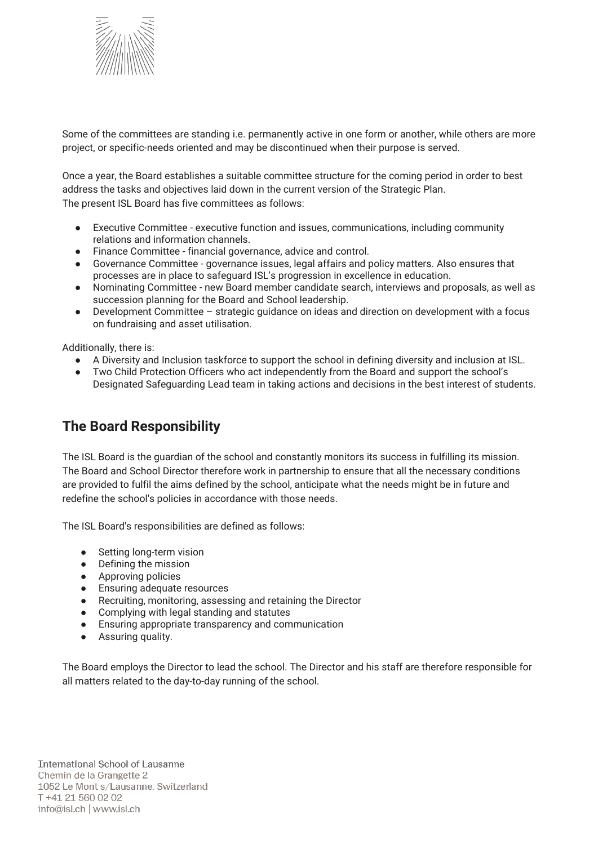

Some of the committees are standing i.e. permanently active in one form or another, while others are more project, or specific-needs oriented and may be discontinued when their purpose is served.

Once a year, the Board establishes a suitable committee structure for the coming period in order to best address the tasks and objectives laid down in the current version of the Strategic Plan. The present ISL Board has five committees as follows:

- Executive Committee executive function and issues, communications, including community relations and information channels.
- Finance Committee financial governance, advice and control.
- Governance Committee governance issues, legal affairs and policy matters. Also ensures that processes are in place to safeguard ISL's progression in excellence in education.
- Nominating Committee new Board member candidate search, interviews and proposals, as well as succession planning for the Board and School leadership.
- Development Committee strategic guidance on ideas and direction on development with a focus on fundraising and asset utilisation.

Additionally, there is:

- A Diversity and Inclusion taskforce to support the school in defining diversity and inclusion at ISL.
- Two Child Protection Officers who act independently from the Board and support the school's Designated Safeguarding Lead team in taking actions and decisions in the best interest of students.

## **The Board Responsibility**

The ISL Board is the guardian of the school and constantly monitors its success in fulfilling its mission. The Board and School Director therefore work in partnership to ensure that all the necessary conditions are provided to fulfil the aims defined by the school, anticipate what the needs might be in future and redefine the school's policies in accordance with those needs.

The ISL Board's responsibilities are defined as follows:

- Setting long-term vision
- Defining the mission
- Approving policies
- Ensuring adequate resources
- Recruiting, monitoring, assessing and retaining the Director
- Complying with legal standing and statutes<br>• Ensuring appropriate transparency and com
- Ensuring appropriate transparency and communication
- Assuring quality.

The Board employs the Director to lead the school. The Director and his staff are therefore responsible for all matters related to the day-to-day running of the school.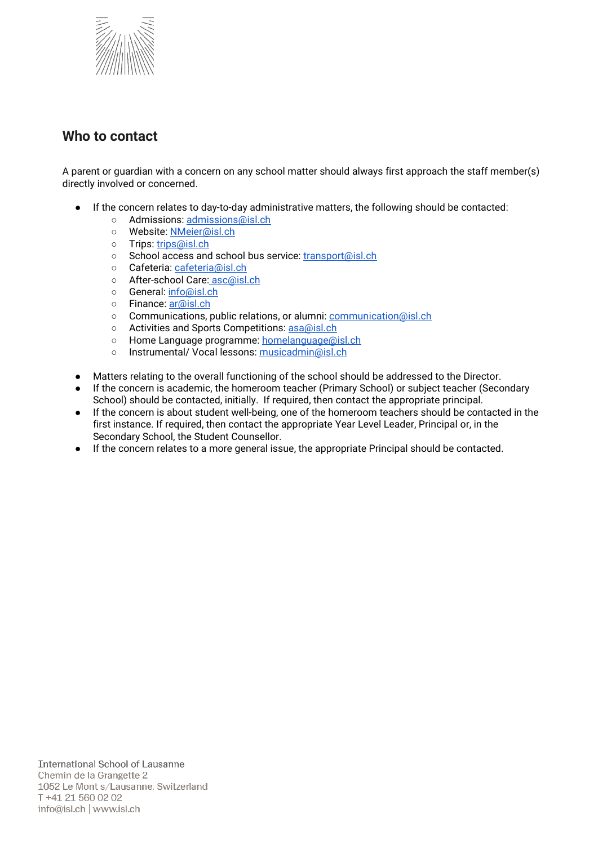

#### **Who to contact**

A parent or guardian with a concern on any school matter should always first approach the staff member(s) directly involved or concerned.

- If the concern relates to day-to-day administrative matters, the following should be contacted:
	- o Admissions: [admissions@isl.ch](mailto:admissions@isl.ch)
	- o Website: [NMeier@isl.ch](mailto:NMeier@isl.ch)
	- o Trips: [trips@isl.ch](mailto:trips@isl.ch)
	- o School access and school bus service: [transport@isl.ch](mailto:transport@isl.ch)
	- o Cafeteria: [cafeteria@isl.ch](mailto:cafeteria@isl.ch)
	- o After-school Care: [asc@isl.ch](mailto:asc@isl.ch)
	- o General: [info@isl.ch](mailto:info@isl.ch)
	- Finance: [ar@isl.ch](mailto:ar@isl.ch)
	- o Communications, public relations, or alumni: [communication@isl.ch](mailto:communication@isl.ch)
	- o Activities and Sports Competitions: [asa@isl.ch](mailto:asa@isl.ch)
	- Home Language programme: [homelanguage@isl.ch](mailto:homelanguage@isl.ch)
	- o Instrumental/ Vocal lessons: [musicadmin@isl.ch](mailto:musicadmin@isl.ch)
- Matters relating to the overall functioning of the school should be addressed to the Director.
- If the concern is academic, the homeroom teacher (Primary School) or subject teacher (Secondary School) should be contacted, initially. If required, then contact the appropriate principal.
- If the concern is about student well-being, one of the homeroom teachers should be contacted in the first instance. If required, then contact the appropriate Year Level Leader, Principal or, in the Secondary School, the Student Counsellor.
- If the concern relates to a more general issue, the appropriate Principal should be contacted.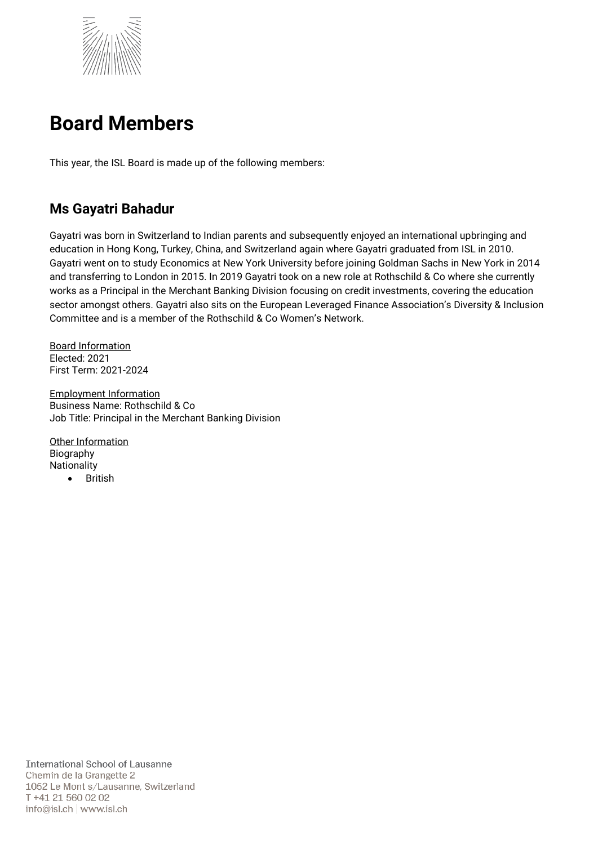

# **Board Members**

This year, the ISL Board is made up of the following members:

## **Ms Gayatri Bahadur**

Gayatri was born in Switzerland to Indian parents and subsequently enjoyed an international upbringing and education in Hong Kong, Turkey, China, and Switzerland again where Gayatri graduated from ISL in 2010. Gayatri went on to study Economics at New York University before joining Goldman Sachs in New York in 2014 and transferring to London in 2015. In 2019 Gayatri took on a new role at Rothschild & Co where she currently works as a Principal in the Merchant Banking Division focusing on credit investments, covering the education sector amongst others. Gayatri also sits on the European Leveraged Finance Association's Diversity & Inclusion Committee and is a member of the Rothschild & Co Women's Network.

Board Information Elected: 2021 First Term: 2021-2024

Employment Information Business Name: Rothschild & Co Job Title: Principal in the Merchant Banking Division

Other Information Biography **Nationality British**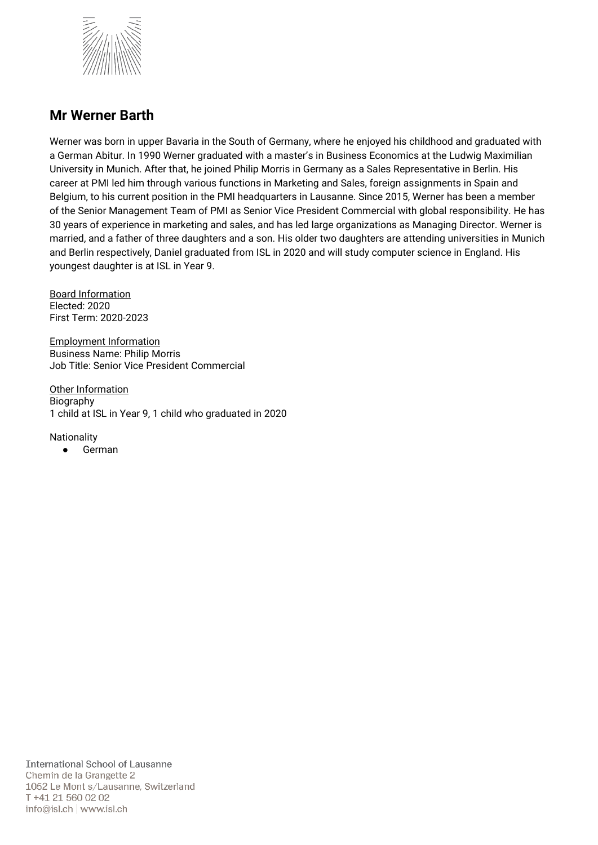

#### **Mr Werner Barth**

Werner was born in upper Bavaria in the South of Germany, where he enjoyed his childhood and graduated with a German Abitur. In 1990 Werner graduated with a master's in Business Economics at the Ludwig Maximilian University in Munich. After that, he joined Philip Morris in Germany as a Sales Representative in Berlin. His career at PMI led him through various functions in Marketing and Sales, foreign assignments in Spain and Belgium, to his current position in the PMI headquarters in Lausanne. Since 2015, Werner has been a member of the Senior Management Team of PMI as Senior Vice President Commercial with global responsibility. He has 30 years of experience in marketing and sales, and has led large organizations as Managing Director. Werner is married, and a father of three daughters and a son. His older two daughters are attending universities in Munich and Berlin respectively, Daniel graduated from ISL in 2020 and will study computer science in England. His youngest daughter is at ISL in Year 9.

Board Information Elected: 2020 First Term: 2020-2023

Employment Information Business Name: Philip Morris Job Title: Senior Vice President Commercial

Other Information Biography 1 child at ISL in Year 9, 1 child who graduated in 2020

Nationality

● German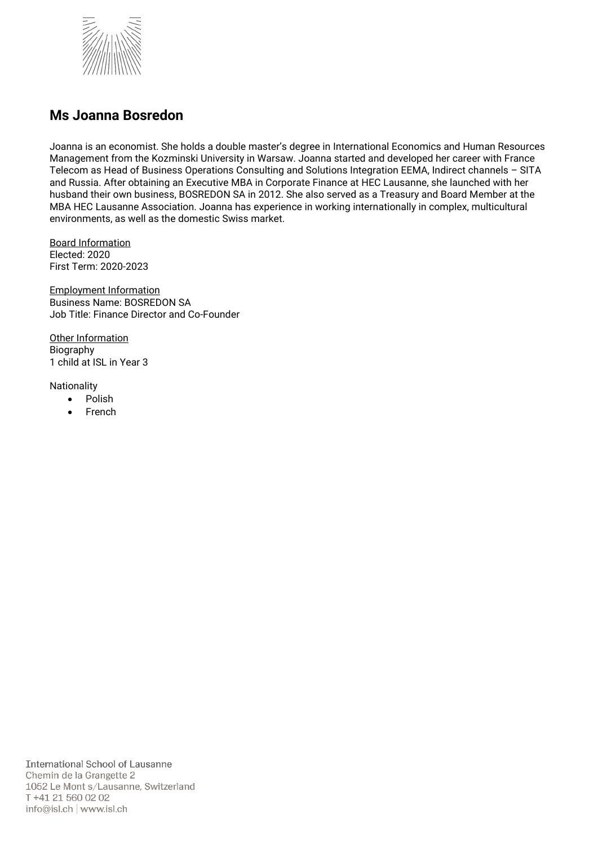

#### **Ms Joanna Bosredon**

Joanna is an economist. She holds a double master's degree in International Economics and Human Resources Management from the Kozminski University in Warsaw. Joanna started and developed her career with France Telecom as Head of Business Operations Consulting and Solutions Integration EEMA, Indirect channels – SITA and Russia. After obtaining an Executive MBA in Corporate Finance at HEC Lausanne, she launched with her husband their own business, BOSREDON SA in 2012. She also served as a Treasury and Board Member at the MBA HEC Lausanne Association. Joanna has experience in working internationally in complex, multicultural environments, as well as the domestic Swiss market.

Board Information Elected: 2020 First Term: 2020-2023

Employment Information Business Name: BOSREDON SA Job Title: Finance Director and Co-Founder

Other Information Biography 1 child at ISL in Year 3

- Polish
- **French**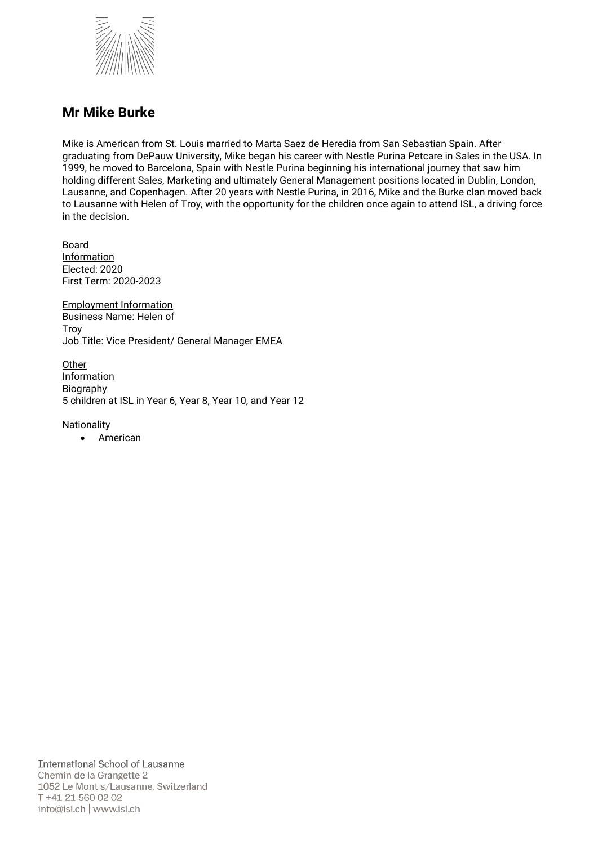

#### **Mr Mike Burke**

Mike is American from St. Louis married to Marta Saez de Heredia from San Sebastian Spain. After graduating from DePauw University, Mike began his career with Nestle Purina Petcare in Sales in the USA. In 1999, he moved to Barcelona, Spain with Nestle Purina beginning his international journey that saw him holding different Sales, Marketing and ultimately General Management positions located in Dublin, London, Lausanne, and Copenhagen. After 20 years with Nestle Purina, in 2016, Mike and the Burke clan moved back to Lausanne with Helen of Troy, with the opportunity for the children once again to attend ISL, a driving force in the decision.

Board **Information** Elected: 2020 First Term: 2020-2023

Employment Information Business Name: Helen of **Troy** Job Title: Vice President/ General Manager EMEA

**Other Information** Biography 5 children at ISL in Year 6, Year 8, Year 10, and Year 12

**Nationality** 

• American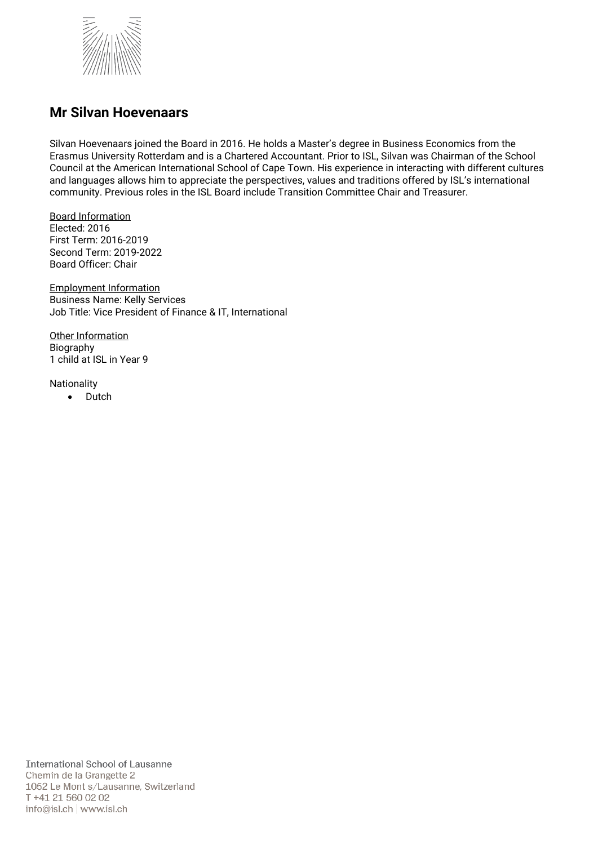

#### **Mr Silvan Hoevenaars**

Silvan Hoevenaars joined the Board in 2016. He holds a Master's degree in Business Economics from the Erasmus University Rotterdam and is a Chartered Accountant. Prior to ISL, Silvan was Chairman of the School Council at the American International School of Cape Town. His experience in interacting with different cultures and languages allows him to appreciate the perspectives, values and traditions offered by ISL's international community. Previous roles in the ISL Board include Transition Committee Chair and Treasurer.

Board Information Elected: 2016 First Term: 2016-2019 Second Term: 2019-2022 Board Officer: Chair

Employment Information Business Name: Kelly Services Job Title: Vice President of Finance & IT, International

Other Information Biography 1 child at ISL in Year 9

Nationality

• Dutch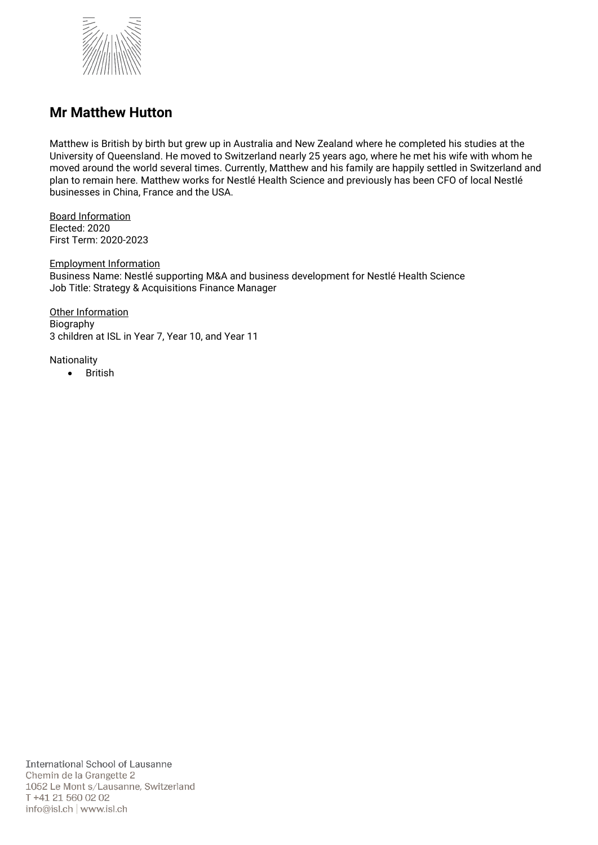

#### **Mr Matthew Hutton**

Matthew is British by birth but grew up in Australia and New Zealand where he completed his studies at the University of Queensland. He moved to Switzerland nearly 25 years ago, where he met his wife with whom he moved around the world several times. Currently, Matthew and his family are happily settled in Switzerland and plan to remain here. Matthew works for Nestlé Health Science and previously has been CFO of local Nestlé businesses in China, France and the USA.

Board Information Elected: 2020 First Term: 2020-2023

Employment Information Business Name: Nestlé supporting M&A and business development for Nestlé Health Science Job Title: Strategy & Acquisitions Finance Manager

Other Information Biography 3 children at ISL in Year 7, Year 10, and Year 11

Nationality

• British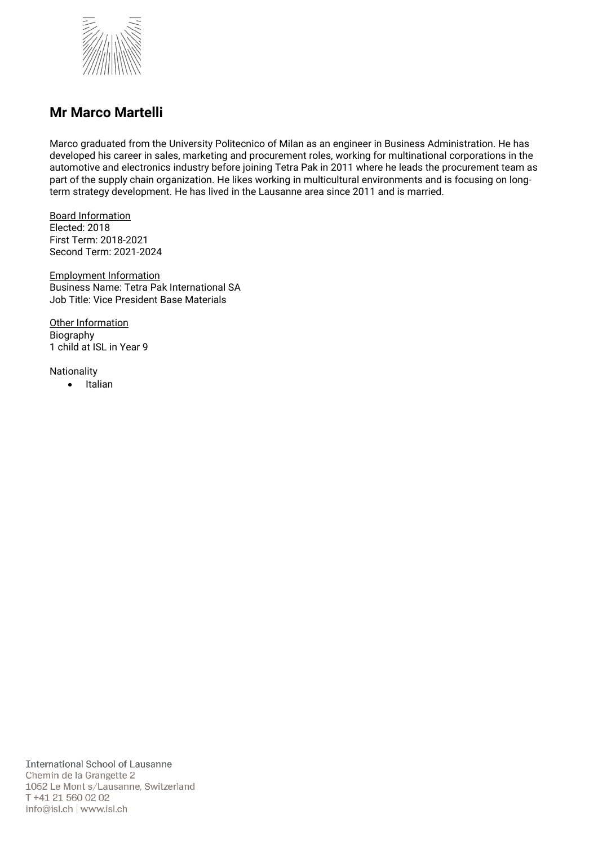

#### **Mr Marco Martelli**

Marco graduated from the University Politecnico of Milan as an engineer in Business Administration. He has developed his career in sales, marketing and procurement roles, working for multinational corporations in the automotive and electronics industry before joining Tetra Pak in 2011 where he leads the procurement team as part of the supply chain organization. He likes working in multicultural environments and is focusing on longterm strategy development. He has lived in the Lausanne area since 2011 and is married.

Board Information Elected: 2018 First Term: 2018-2021 Second Term: 2021-2024

Employment Information Business Name: Tetra Pak International SA Job Title: Vice President Base Materials

**Other Information** Biography 1 child at ISL in Year 9

Nationality

• Italian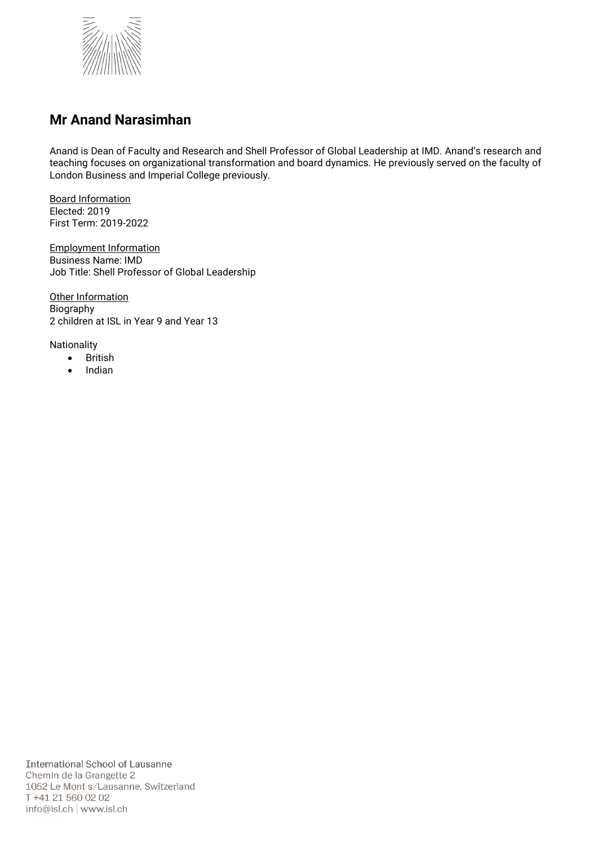

### **Mr Anand Narasimhan**

Anand is Dean of Faculty and Research and Shell Professor of Global Leadership at IMD. Anand's research and teaching focuses on organizational transformation and board dynamics. He previously served on the faculty of London Business and Imperial College previously.

Board Information Elected: 2019 First Term: 2019-2022

Employment Information Business Name: IMD Job Title: Shell Professor of Global Leadership

Other Information Biography 2 children at ISL in Year 9 and Year 13

- British
- Indian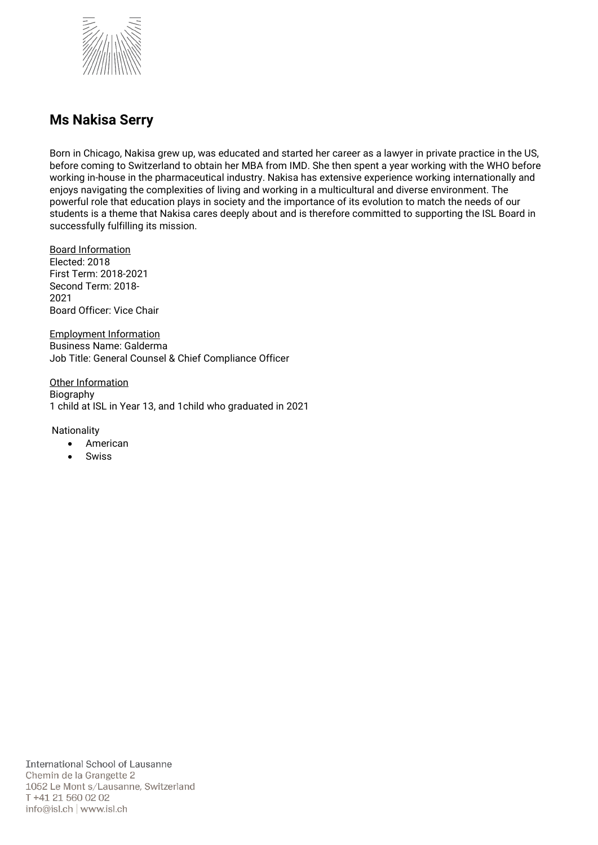

#### **Ms Nakisa Serry**

Born in Chicago, Nakisa grew up, was educated and started her career as a lawyer in private practice in the US, before coming to Switzerland to obtain her MBA from IMD. She then spent a year working with the WHO before working in-house in the pharmaceutical industry. Nakisa has extensive experience working internationally and enjoys navigating the complexities of living and working in a multicultural and diverse environment. The powerful role that education plays in society and the importance of its evolution to match the needs of our students is a theme that Nakisa cares deeply about and is therefore committed to supporting the ISL Board in successfully fulfilling its mission.

Board Information Elected: 2018 First Term: 2018-2021 Second Term: 2018- 2021 Board Officer: Vice Chair

Employment Information Business Name: Galderma Job Title: General Counsel & Chief Compliance Officer

Other Information Biography 1 child at ISL in Year 13, and 1child who graduated in 2021

- American
- **Swiss**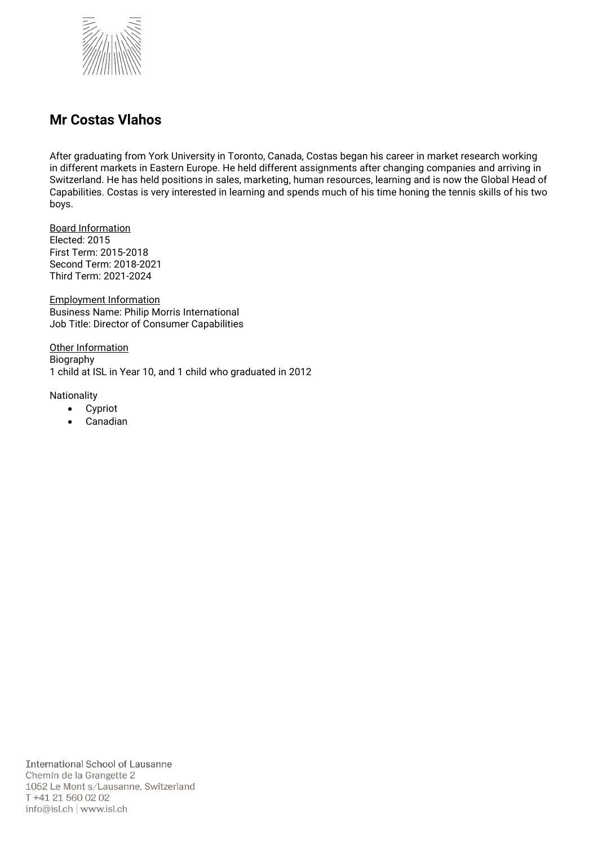

### **Mr Costas Vlahos**

After graduating from York University in Toronto, Canada, Costas began his career in market research working in different markets in Eastern Europe. He held different assignments after changing companies and arriving in Switzerland. He has held positions in sales, marketing, human resources, learning and is now the Global Head of Capabilities. Costas is very interested in learning and spends much of his time honing the tennis skills of his two boys.

Board Information Elected: 2015 First Term: 2015-2018 Second Term: 2018-2021 Third Term: 2021-2024

Employment Information Business Name: Philip Morris International Job Title: Director of Consumer Capabilities

Other Information Biography 1 child at ISL in Year 10, and 1 child who graduated in 2012

- Cypriot
- Canadian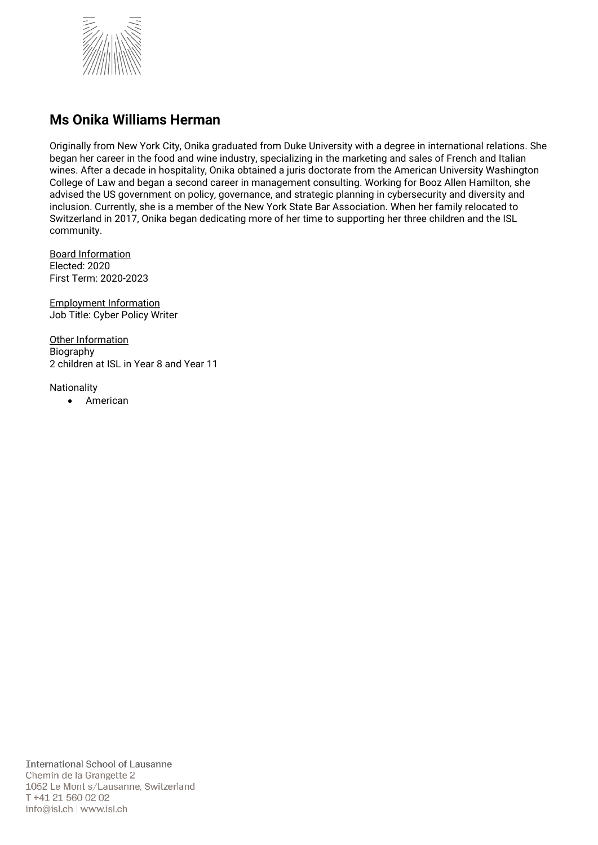

#### **Ms Onika Williams Herman**

Originally from New York City, Onika graduated from Duke University with a degree in international relations. She began her career in the food and wine industry, specializing in the marketing and sales of French and Italian wines. After a decade in hospitality, Onika obtained a juris doctorate from the American University Washington College of Law and began a second career in management consulting. Working for Booz Allen Hamilton, she advised the US government on policy, governance, and strategic planning in cybersecurity and diversity and inclusion. Currently, she is a member of the New York State Bar Association. When her family relocated to Switzerland in 2017, Onika began dedicating more of her time to supporting her three children and the ISL community.

Board Information Elected: 2020 First Term: 2020-2023

Employment Information Job Title: Cyber Policy Writer

Other Information Biography 2 children at ISL in Year 8 and Year 11

Nationality

• American